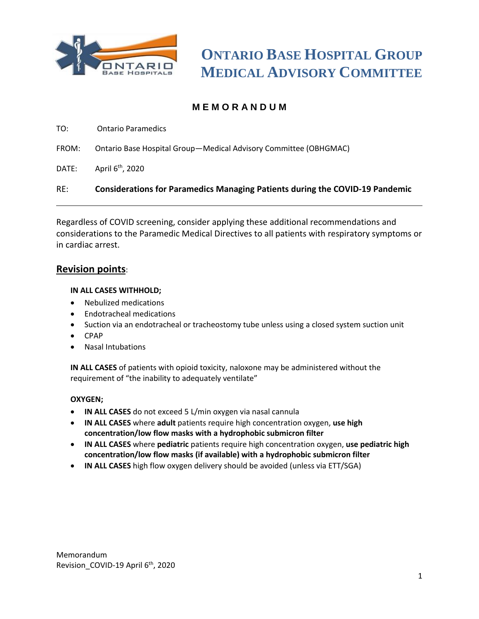

## **M E M O R A N D U M**

TO: Ontario Paramedics

- FROM: Ontario Base Hospital Group—Medical Advisory Committee (OBHGMAC)
- DATE: April 6<sup>th</sup>, 2020

RE: **Considerations for Paramedics Managing Patients during the COVID-19 Pandemic**

Regardless of COVID screening, consider applying these additional recommendations and considerations to the Paramedic Medical Directives to all patients with respiratory symptoms or in cardiac arrest.

### **Revision points**:

#### **IN ALL CASES WITHHOLD;**

- Nebulized medications
- Endotracheal medications
- Suction via an endotracheal or tracheostomy tube unless using a closed system suction unit
- CPAP
- Nasal Intubations

**IN ALL CASES** of patients with opioid toxicity, naloxone may be administered without the requirement of "the inability to adequately ventilate"

#### **OXYGEN;**

- **IN ALL CASES** do not exceed 5 L/min oxygen via nasal cannula
- **IN ALL CASES** where **adult** patients require high concentration oxygen, **use high concentration/low flow masks with a hydrophobic submicron filter**
- **IN ALL CASES** where **pediatric** patients require high concentration oxygen, **use pediatric high concentration/low flow masks (if available) with a hydrophobic submicron filter**
- **IN ALL CASES** high flow oxygen delivery should be avoided (unless via ETT/SGA)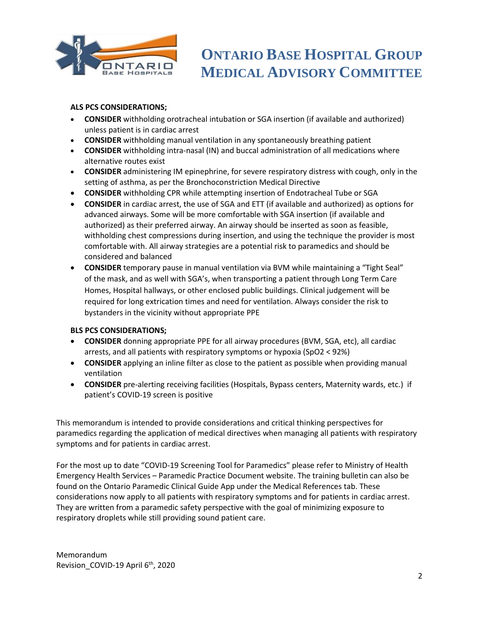

# **ONTARIO BASE HOSPITAL GROUP MEDICAL ADVISORY COMMITTEE**

#### **ALS PCS CONSIDERATIONS;**

- **CONSIDER** withholding orotracheal intubation or SGA insertion (if available and authorized) unless patient is in cardiac arrest
- **CONSIDER** withholding manual ventilation in any spontaneously breathing patient
- **CONSIDER** withholding intra-nasal (IN) and buccal administration of all medications where alternative routes exist
- **CONSIDER** administering IM epinephrine, for severe respiratory distress with cough, only in the setting of asthma, as per the Bronchoconstriction Medical Directive
- **CONSIDER** withholding CPR while attempting insertion of Endotracheal Tube or SGA
- **CONSIDER** in cardiac arrest, the use of SGA and ETT (if available and authorized) as options for advanced airways. Some will be more comfortable with SGA insertion (if available and authorized) as their preferred airway. An airway should be inserted as soon as feasible, withholding chest compressions during insertion, and using the technique the provider is most comfortable with. All airway strategies are a potential risk to paramedics and should be considered and balanced
- **CONSIDER** temporary pause in manual ventilation via BVM while maintaining a "Tight Seal" of the mask, and as well with SGA's, when transporting a patient through Long Term Care Homes, Hospital hallways, or other enclosed public buildings. Clinical judgement will be required for long extrication times and need for ventilation. Always consider the risk to bystanders in the vicinity without appropriate PPE

#### **BLS PCS CONSIDERATIONS;**

- **CONSIDER** donning appropriate PPE for all airway procedures (BVM, SGA, etc), all cardiac arrests, and all patients with respiratory symptoms or hypoxia (SpO2 < 92%)
- **CONSIDER** applying an inline filter as close to the patient as possible when providing manual ventilation
- **CONSIDER** pre-alerting receiving facilities (Hospitals, Bypass centers, Maternity wards, etc.) if patient's COVID-19 screen is positive

This memorandum is intended to provide considerations and critical thinking perspectives for paramedics regarding the application of medical directives when managing all patients with respiratory symptoms and for patients in cardiac arrest.

For the most up to date "COVID-19 Screening Tool for Paramedics" please refer to Ministry of Health Emergency Health Services – Paramedic Practice Document website. The training bulletin can also be found on the Ontario Paramedic Clinical Guide App under the Medical References tab. These considerations now apply to all patients with respiratory symptoms and for patients in cardiac arrest. They are written from a paramedic safety perspective with the goal of minimizing exposure to respiratory droplets while still providing sound patient care.

Memorandum Revision\_COVID-19 April 6<sup>th</sup>, 2020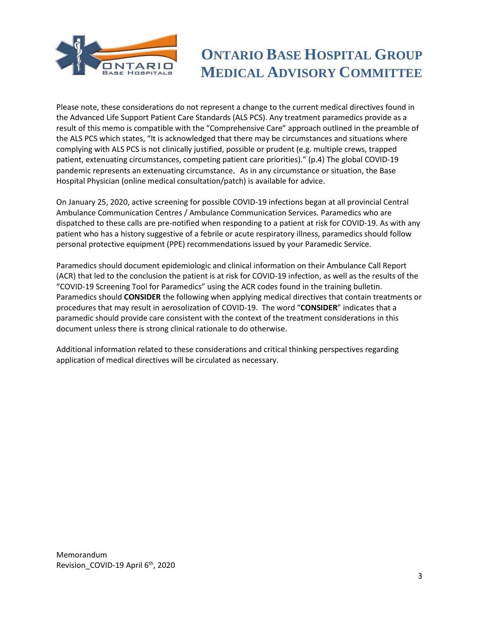

# **ONTARIO BASE HOSPITAL GROUP MEDICAL ADVISORY COMMITTEE**

Please note, these considerations do not represent a change to the current medical directives found in the Advanced Life Support Patient Care Standards (ALS PCS). Any treatment paramedics provide as a result of this memo is compatible with the "Comprehensive Care" approach outlined in the preamble of the ALS PCS which states, "It is acknowledged that there may be circumstances and situations where complying with ALS PCS is not clinically justified, possible or prudent (e.g. multiple crews, trapped patient, extenuating circumstances, competing patient care priorities)." (p.4) The global COVID-19 pandemic represents an extenuating circumstance. As in any circumstance or situation, the Base Hospital Physician (online medical consultation/patch) is available for advice.

On January 25, 2020, active screening for possible COVID-19 infections began at all provincial Central Ambulance Communication Centres / Ambulance Communication Services. Paramedics who are dispatched to these calls are pre-notified when responding to a patient at risk for COVID-19. As with any patient who has a history suggestive of a febrile or acute respiratory illness, paramedics should follow personal protective equipment (PPE) recommendations issued by your Paramedic Service.

Paramedics should document epidemiologic and clinical information on their Ambulance Call Report (ACR) that led to the conclusion the patient is at risk for COVID-19 infection, as well as the results of the "COVID-19 Screening Tool for Paramedics" using the ACR codes found in the training bulletin. Paramedics should **CONSIDER** the following when applying medical directives that contain treatments or procedures that may result in aerosolization of COVID-19. The word "**CONSIDER**" indicates that a paramedic should provide care consistent with the context of the treatment considerations in this document unless there is strong clinical rationale to do otherwise.

Additional information related to these considerations and critical thinking perspectives regarding application of medical directives will be circulated as necessary.

Memorandum Revision\_COVID-19 April 6<sup>th</sup>, 2020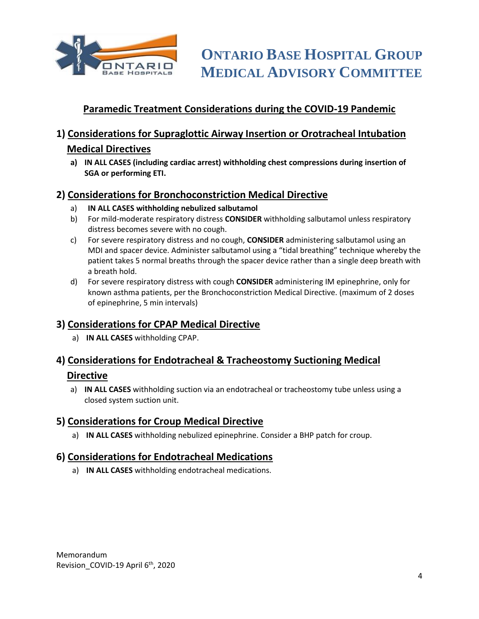

## **Paramedic Treatment Considerations during the COVID-19 Pandemic**

## **1) Considerations for Supraglottic Airway Insertion or Orotracheal Intubation Medical Directives**

**a) IN ALL CASES (including cardiac arrest) withholding chest compressions during insertion of SGA or performing ETI.**

## **2) Considerations for Bronchoconstriction Medical Directive**

- a) **IN ALL CASES withholding nebulized salbutamol**
- b) For mild-moderate respiratory distress **CONSIDER** withholding salbutamol unless respiratory distress becomes severe with no cough.
- c) For severe respiratory distress and no cough, **CONSIDER** administering salbutamol using an MDI and spacer device. Administer salbutamol using a "tidal breathing" technique whereby the patient takes 5 normal breaths through the spacer device rather than a single deep breath with a breath hold.
- d) For severe respiratory distress with cough **CONSIDER** administering IM epinephrine, only for known asthma patients, per the Bronchoconstriction Medical Directive. (maximum of 2 doses of epinephrine, 5 min intervals)

## **3) Considerations for CPAP Medical Directive**

a) **IN ALL CASES** withholding CPAP.

# **4) Considerations for Endotracheal & Tracheostomy Suctioning Medical**

### **Directive**

a) **IN ALL CASES** withholding suction via an endotracheal or tracheostomy tube unless using a closed system suction unit.

## **5) Considerations for Croup Medical Directive**

a) **IN ALL CASES** withholding nebulized epinephrine. Consider a BHP patch for croup.

## **6) Considerations for Endotracheal Medications**

a) **IN ALL CASES** withholding endotracheal medications.